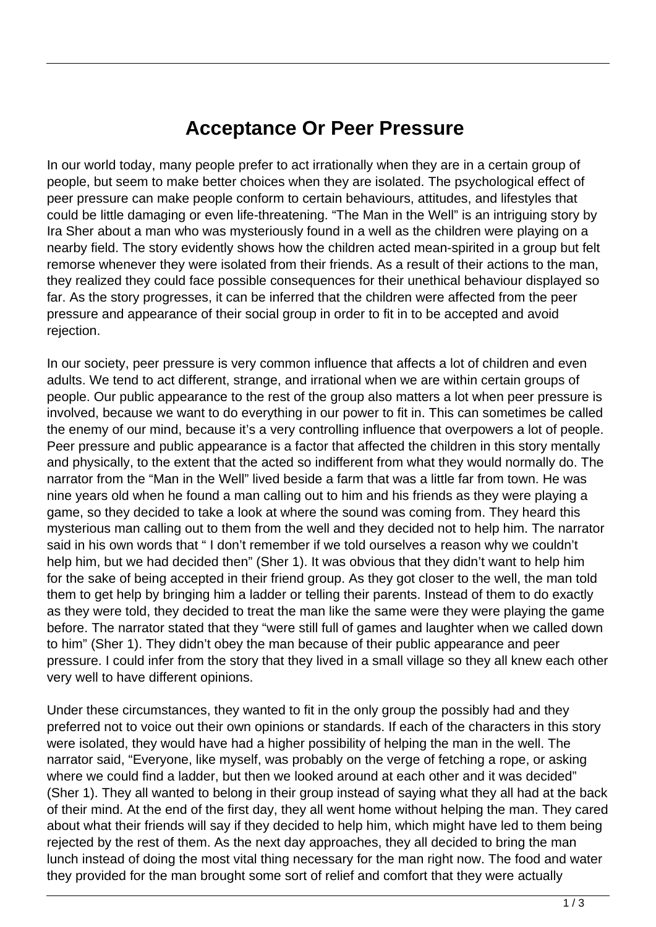## **Acceptance Or Peer Pressure**

In our world today, many people prefer to act irrationally when they are in a certain group of people, but seem to make better choices when they are isolated. The psychological effect of peer pressure can make people conform to certain behaviours, attitudes, and lifestyles that could be little damaging or even life-threatening. "The Man in the Well" is an intriguing story by Ira Sher about a man who was mysteriously found in a well as the children were playing on a nearby field. The story evidently shows how the children acted mean-spirited in a group but felt remorse whenever they were isolated from their friends. As a result of their actions to the man, they realized they could face possible consequences for their unethical behaviour displayed so far. As the story progresses, it can be inferred that the children were affected from the peer pressure and appearance of their social group in order to fit in to be accepted and avoid rejection.

In our society, peer pressure is very common influence that affects a lot of children and even adults. We tend to act different, strange, and irrational when we are within certain groups of people. Our public appearance to the rest of the group also matters a lot when peer pressure is involved, because we want to do everything in our power to fit in. This can sometimes be called the enemy of our mind, because it's a very controlling influence that overpowers a lot of people. Peer pressure and public appearance is a factor that affected the children in this story mentally and physically, to the extent that the acted so indifferent from what they would normally do. The narrator from the "Man in the Well" lived beside a farm that was a little far from town. He was nine years old when he found a man calling out to him and his friends as they were playing a game, so they decided to take a look at where the sound was coming from. They heard this mysterious man calling out to them from the well and they decided not to help him. The narrator said in his own words that " I don't remember if we told ourselves a reason why we couldn't help him, but we had decided then" (Sher 1). It was obvious that they didn't want to help him for the sake of being accepted in their friend group. As they got closer to the well, the man told them to get help by bringing him a ladder or telling their parents. Instead of them to do exactly as they were told, they decided to treat the man like the same were they were playing the game before. The narrator stated that they "were still full of games and laughter when we called down to him" (Sher 1). They didn't obey the man because of their public appearance and peer pressure. I could infer from the story that they lived in a small village so they all knew each other very well to have different opinions.

Under these circumstances, they wanted to fit in the only group the possibly had and they preferred not to voice out their own opinions or standards. If each of the characters in this story were isolated, they would have had a higher possibility of helping the man in the well. The narrator said, "Everyone, like myself, was probably on the verge of fetching a rope, or asking where we could find a ladder, but then we looked around at each other and it was decided" (Sher 1). They all wanted to belong in their group instead of saying what they all had at the back of their mind. At the end of the first day, they all went home without helping the man. They cared about what their friends will say if they decided to help him, which might have led to them being rejected by the rest of them. As the next day approaches, they all decided to bring the man lunch instead of doing the most vital thing necessary for the man right now. The food and water they provided for the man brought some sort of relief and comfort that they were actually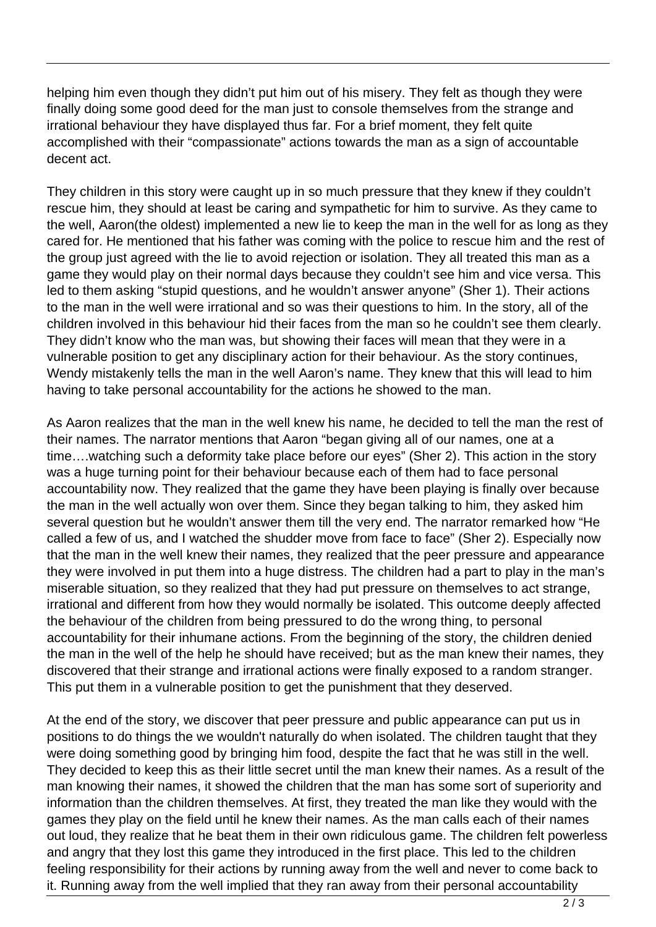helping him even though they didn't put him out of his misery. They felt as though they were finally doing some good deed for the man just to console themselves from the strange and irrational behaviour they have displayed thus far. For a brief moment, they felt quite accomplished with their "compassionate" actions towards the man as a sign of accountable decent act.

They children in this story were caught up in so much pressure that they knew if they couldn't rescue him, they should at least be caring and sympathetic for him to survive. As they came to the well, Aaron(the oldest) implemented a new lie to keep the man in the well for as long as they cared for. He mentioned that his father was coming with the police to rescue him and the rest of the group just agreed with the lie to avoid rejection or isolation. They all treated this man as a game they would play on their normal days because they couldn't see him and vice versa. This led to them asking "stupid questions, and he wouldn't answer anyone" (Sher 1). Their actions to the man in the well were irrational and so was their questions to him. In the story, all of the children involved in this behaviour hid their faces from the man so he couldn't see them clearly. They didn't know who the man was, but showing their faces will mean that they were in a vulnerable position to get any disciplinary action for their behaviour. As the story continues, Wendy mistakenly tells the man in the well Aaron's name. They knew that this will lead to him having to take personal accountability for the actions he showed to the man.

As Aaron realizes that the man in the well knew his name, he decided to tell the man the rest of their names. The narrator mentions that Aaron "began giving all of our names, one at a time….watching such a deformity take place before our eyes" (Sher 2). This action in the story was a huge turning point for their behaviour because each of them had to face personal accountability now. They realized that the game they have been playing is finally over because the man in the well actually won over them. Since they began talking to him, they asked him several question but he wouldn't answer them till the very end. The narrator remarked how "He called a few of us, and I watched the shudder move from face to face" (Sher 2). Especially now that the man in the well knew their names, they realized that the peer pressure and appearance they were involved in put them into a huge distress. The children had a part to play in the man's miserable situation, so they realized that they had put pressure on themselves to act strange, irrational and different from how they would normally be isolated. This outcome deeply affected the behaviour of the children from being pressured to do the wrong thing, to personal accountability for their inhumane actions. From the beginning of the story, the children denied the man in the well of the help he should have received; but as the man knew their names, they discovered that their strange and irrational actions were finally exposed to a random stranger. This put them in a vulnerable position to get the punishment that they deserved.

At the end of the story, we discover that peer pressure and public appearance can put us in positions to do things the we wouldn't naturally do when isolated. The children taught that they were doing something good by bringing him food, despite the fact that he was still in the well. They decided to keep this as their little secret until the man knew their names. As a result of the man knowing their names, it showed the children that the man has some sort of superiority and information than the children themselves. At first, they treated the man like they would with the games they play on the field until he knew their names. As the man calls each of their names out loud, they realize that he beat them in their own ridiculous game. The children felt powerless and angry that they lost this game they introduced in the first place. This led to the children feeling responsibility for their actions by running away from the well and never to come back to it. Running away from the well implied that they ran away from their personal accountability